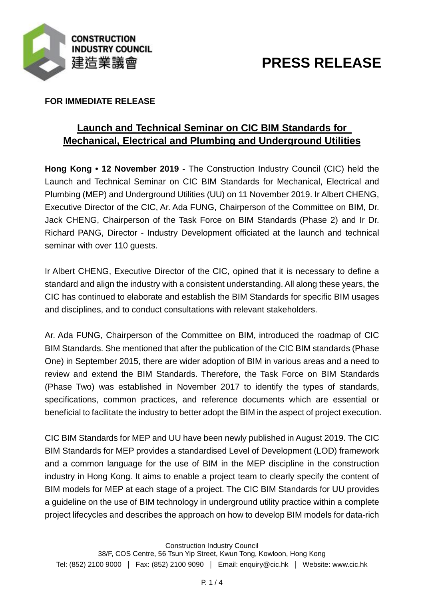

# **PRESS RELEASE**

## **FOR IMMEDIATE RELEASE**

## **Launch and Technical Seminar on CIC BIM Standards for Mechanical, Electrical and Plumbing and Underground Utilities**

**Hong Kong • 12 November 2019 -** The Construction Industry Council (CIC) held the Launch and Technical Seminar on CIC BIM Standards for Mechanical, Electrical and Plumbing (MEP) and Underground Utilities (UU) on 11 November 2019. Ir Albert CHENG, Executive Director of the CIC, Ar. Ada FUNG, Chairperson of the Committee on BIM, Dr. Jack CHENG, Chairperson of the Task Force on BIM Standards (Phase 2) and Ir Dr. Richard PANG, Director - Industry Development officiated at the launch and technical seminar with over 110 quests.

Ir Albert CHENG, Executive Director of the CIC, opined that it is necessary to define a standard and align the industry with a consistent understanding. All along these years, the CIC has continued to elaborate and establish the BIM Standards for specific BIM usages and disciplines, and to conduct consultations with relevant stakeholders.

Ar. Ada FUNG, Chairperson of the Committee on BIM, introduced the roadmap of CIC BIM Standards. She mentioned that after the publication of the CIC BIM standards (Phase One) in September 2015, there are wider adoption of BIM in various areas and a need to review and extend the BIM Standards. Therefore, the Task Force on BIM Standards (Phase Two) was established in November 2017 to identify the types of standards, specifications, common practices, and reference documents which are essential or beneficial to facilitate the industry to better adopt the BIM in the aspect of project execution.

CIC BIM Standards for MEP and UU have been newly published in August 2019. The CIC BIM Standards for MEP provides a standardised Level of Development (LOD) framework and a common language for the use of BIM in the MEP discipline in the construction industry in Hong Kong. It aims to enable a project team to clearly specify the content of BIM models for MEP at each stage of a project. The CIC BIM Standards for UU provides a guideline on the use of BIM technology in underground utility practice within a complete project lifecycles and describes the approach on how to develop BIM models for data-rich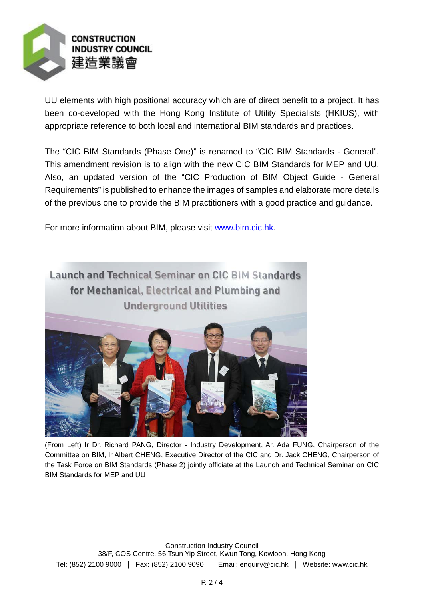

UU elements with high positional accuracy which are of direct benefit to a project. It has been co-developed with the Hong Kong Institute of Utility Specialists (HKIUS), with appropriate reference to both local and international BIM standards and practices.

The "CIC BIM Standards (Phase One)" is renamed to "CIC BIM Standards - General". This amendment revision is to align with the new CIC BIM Standards for MEP and UU. Also, an updated version of the "CIC Production of BIM Object Guide - General Requirements" is published to enhance the images of samples and elaborate more details of the previous one to provide the BIM practitioners with a good practice and guidance.

For more information about BIM, please visit [www.bim.cic.hk.](http://www.bim.cic.hk/)



(From Left) Ir Dr. Richard PANG, Director - Industry Development, Ar. Ada FUNG, Chairperson of the Committee on BIM, Ir Albert CHENG, Executive Director of the CIC and Dr. Jack CHENG, Chairperson of the Task Force on BIM Standards (Phase 2) jointly officiate at the Launch and Technical Seminar on CIC BIM Standards for MEP and UU

Construction Industry Council 38/F, COS Centre, 56 Tsun Yip Street, Kwun Tong, Kowloon, Hong Kong Tel: (852) 2100 9000 | Fax: (852) 2100 9090 | Email: enquiry@cic.hk | Website: www.cic.hk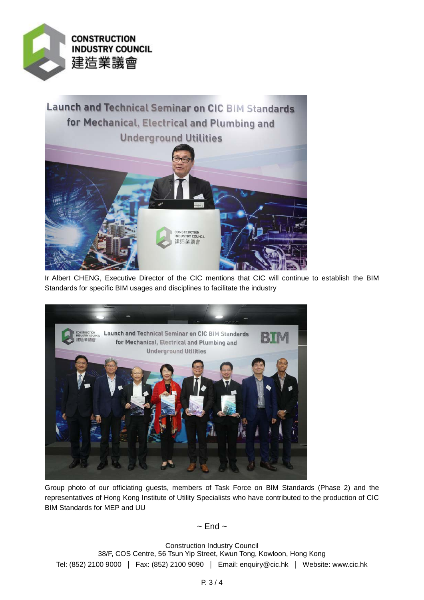

Launch and Technical Seminar on CIC BIM Standards for Mechanical, Electrical and Plumbing and **Underground Utilities** CONSTRUCTI<mark>ON</mark><br>INDUSTRY COUNCIL 里造業議會

Ir Albert CHENG, Executive Director of the CIC mentions that CIC will continue to establish the BIM Standards for specific BIM usages and disciplines to facilitate the industry



Group photo of our officiating guests, members of Task Force on BIM Standards (Phase 2) and the representatives of Hong Kong Institute of Utility Specialists who have contributed to the production of CIC BIM Standards for MEP and UU

 $\sim$  End  $\sim$ 

Construction Industry Council 38/F, COS Centre, 56 Tsun Yip Street, Kwun Tong, Kowloon, Hong Kong Tel: (852) 2100 9000 | Fax: (852) 2100 9090 | Email: enquiry@cic.hk | Website: www.cic.hk